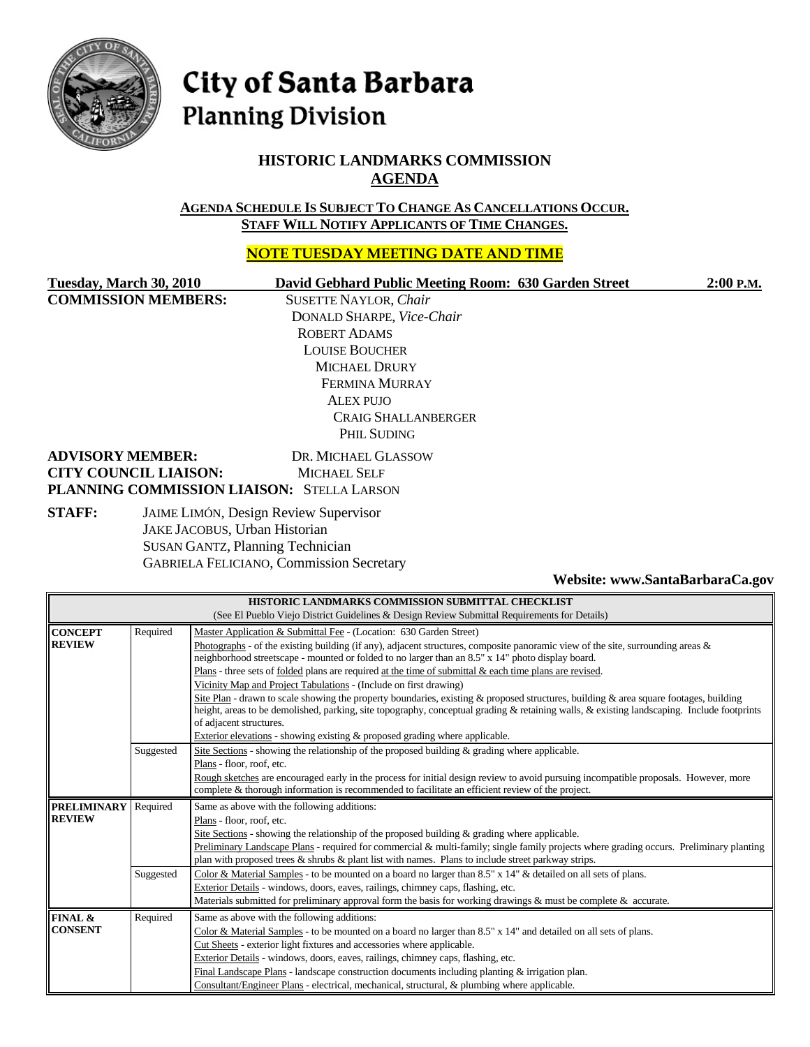

# City of Santa Barbara **Planning Division**

## **HISTORIC LANDMARKS COMMISSION AGENDA**

**AGENDA SCHEDULE IS SUBJECT TO CHANGE AS CANCELLATIONS OCCUR. STAFF WILL NOTIFY APPLICANTS OF TIME CHANGES.**

## **NOTE TUESDAY MEETING DATE AND TIME**

**COMMISSION MEMBERS:** SUSETTE NAYLOR, *Chair*

#### **Tuesday, March 30, 2010 David Gebhard Public Meeting Room: 630 Garden Street 2:00 P.M.**

DONALD SHARPE, *Vice-Chair* ROBERT ADAMS LOUISE BOUCHER MICHAEL DRURY FERMINA MURRAY ALEX PUJO CRAIG SHALLANBERGER PHIL SUDING

#### **ADVISORY MEMBER:** DR. MICHAEL GLASSOW **CITY COUNCIL LIAISON:** MICHAEL SELF **PLANNING COMMISSION LIAISON:** STELLA LARSON

**STAFF:** JAIME LIMÓN, Design Review Supervisor JAKE JACOBUS, Urban Historian SUSAN GANTZ, Planning Technician GABRIELA FELICIANO, Commission Secretary

#### **Website: www.SantaBarbaraCa.gov**

| HISTORIC LANDMARKS COMMISSION SUBMITTAL CHECKLIST                                            |                                                                                |                                                                                                                                            |  |  |  |
|----------------------------------------------------------------------------------------------|--------------------------------------------------------------------------------|--------------------------------------------------------------------------------------------------------------------------------------------|--|--|--|
| (See El Pueblo Viejo District Guidelines & Design Review Submittal Requirements for Details) |                                                                                |                                                                                                                                            |  |  |  |
| <b>CONCEPT</b>                                                                               | Required<br>Master Application & Submittal Fee - (Location: 630 Garden Street) |                                                                                                                                            |  |  |  |
| <b>REVIEW</b>                                                                                |                                                                                | Photographs - of the existing building (if any), adjacent structures, composite panoramic view of the site, surrounding areas $\&$         |  |  |  |
|                                                                                              |                                                                                | neighborhood streetscape - mounted or folded to no larger than an 8.5" x 14" photo display board.                                          |  |  |  |
|                                                                                              |                                                                                | Plans - three sets of <u>folded</u> plans are required at the time of submittal & each time plans are revised.                             |  |  |  |
|                                                                                              |                                                                                | Vicinity Map and Project Tabulations - (Include on first drawing)                                                                          |  |  |  |
|                                                                                              |                                                                                | Site Plan - drawn to scale showing the property boundaries, existing & proposed structures, building & area square footages, building      |  |  |  |
|                                                                                              |                                                                                | height, areas to be demolished, parking, site topography, conceptual grading & retaining walls, & existing landscaping. Include footprints |  |  |  |
|                                                                                              |                                                                                | of adjacent structures.                                                                                                                    |  |  |  |
|                                                                                              |                                                                                | Exterior elevations - showing existing & proposed grading where applicable.                                                                |  |  |  |
|                                                                                              | Suggested                                                                      | Site Sections - showing the relationship of the proposed building $\&$ grading where applicable.                                           |  |  |  |
|                                                                                              |                                                                                | Plans - floor, roof, etc.                                                                                                                  |  |  |  |
|                                                                                              |                                                                                | Rough sketches are encouraged early in the process for initial design review to avoid pursuing incompatible proposals. However, more       |  |  |  |
|                                                                                              |                                                                                | complete & thorough information is recommended to facilitate an efficient review of the project.                                           |  |  |  |
| <b>PRELIMINARY</b>                                                                           | Required                                                                       | Same as above with the following additions:                                                                                                |  |  |  |
| <b>REVIEW</b>                                                                                |                                                                                | Plans - floor, roof, etc.                                                                                                                  |  |  |  |
|                                                                                              |                                                                                | Site Sections - showing the relationship of the proposed building $\&$ grading where applicable.                                           |  |  |  |
|                                                                                              |                                                                                | Preliminary Landscape Plans - required for commercial & multi-family; single family projects where grading occurs. Preliminary planting    |  |  |  |
|                                                                                              |                                                                                | plan with proposed trees $\&$ shrubs $\&$ plant list with names. Plans to include street parkway strips.                                   |  |  |  |
|                                                                                              | Suggested                                                                      | Color & Material Samples - to be mounted on a board no larger than 8.5" x 14" & detailed on all sets of plans.                             |  |  |  |
|                                                                                              |                                                                                | Exterior Details - windows, doors, eaves, railings, chimney caps, flashing, etc.                                                           |  |  |  |
|                                                                                              |                                                                                | Materials submitted for preliminary approval form the basis for working drawings & must be complete & accurate.                            |  |  |  |
| FINAL &                                                                                      | Required                                                                       | Same as above with the following additions:                                                                                                |  |  |  |
| <b>CONSENT</b>                                                                               |                                                                                | Color & Material Samples - to be mounted on a board no larger than 8.5" x 14" and detailed on all sets of plans.                           |  |  |  |
|                                                                                              |                                                                                | Cut Sheets - exterior light fixtures and accessories where applicable.                                                                     |  |  |  |
|                                                                                              |                                                                                | Exterior Details - windows, doors, eaves, railings, chimney caps, flashing, etc.                                                           |  |  |  |
|                                                                                              |                                                                                | Final Landscape Plans - landscape construction documents including planting $\&$ irrigation plan.                                          |  |  |  |
|                                                                                              |                                                                                | Consultant/Engineer Plans - electrical, mechanical, structural, & plumbing where applicable.                                               |  |  |  |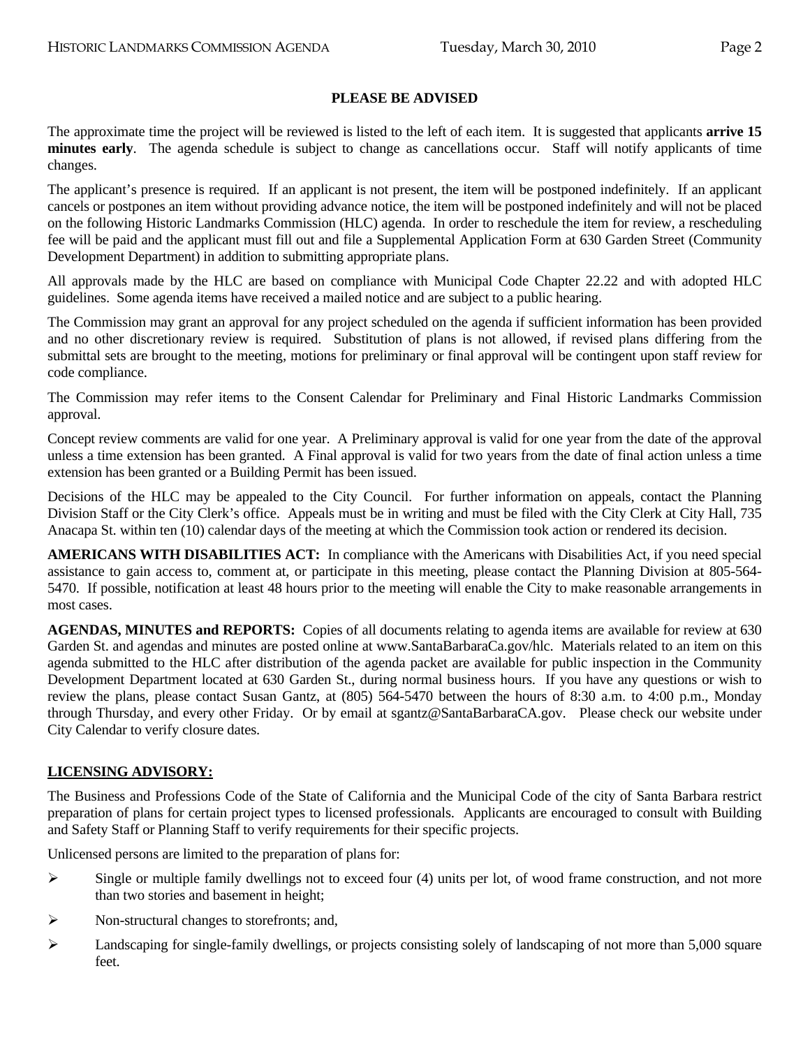#### **PLEASE BE ADVISED**

The approximate time the project will be reviewed is listed to the left of each item. It is suggested that applicants **arrive 15 minutes early**. The agenda schedule is subject to change as cancellations occur. Staff will notify applicants of time changes.

The applicant's presence is required. If an applicant is not present, the item will be postponed indefinitely. If an applicant cancels or postpones an item without providing advance notice, the item will be postponed indefinitely and will not be placed on the following Historic Landmarks Commission (HLC) agenda. In order to reschedule the item for review, a rescheduling fee will be paid and the applicant must fill out and file a Supplemental Application Form at 630 Garden Street (Community Development Department) in addition to submitting appropriate plans.

All approvals made by the HLC are based on compliance with Municipal Code Chapter 22.22 and with adopted HLC guidelines. Some agenda items have received a mailed notice and are subject to a public hearing.

The Commission may grant an approval for any project scheduled on the agenda if sufficient information has been provided and no other discretionary review is required. Substitution of plans is not allowed, if revised plans differing from the submittal sets are brought to the meeting, motions for preliminary or final approval will be contingent upon staff review for code compliance.

The Commission may refer items to the Consent Calendar for Preliminary and Final Historic Landmarks Commission approval.

Concept review comments are valid for one year. A Preliminary approval is valid for one year from the date of the approval unless a time extension has been granted. A Final approval is valid for two years from the date of final action unless a time extension has been granted or a Building Permit has been issued.

Decisions of the HLC may be appealed to the City Council. For further information on appeals, contact the Planning Division Staff or the City Clerk's office. Appeals must be in writing and must be filed with the City Clerk at City Hall, 735 Anacapa St. within ten (10) calendar days of the meeting at which the Commission took action or rendered its decision.

**AMERICANS WITH DISABILITIES ACT:** In compliance with the Americans with Disabilities Act, if you need special assistance to gain access to, comment at, or participate in this meeting, please contact the Planning Division at 805-564- 5470. If possible, notification at least 48 hours prior to the meeting will enable the City to make reasonable arrangements in most cases.

**AGENDAS, MINUTES and REPORTS:** Copies of all documents relating to agenda items are available for review at 630 Garden St. and agendas and minutes are posted online at www.SantaBarbaraCa.gov/hlc. Materials related to an item on this agenda submitted to the HLC after distribution of the agenda packet are available for public inspection in the Community Development Department located at 630 Garden St., during normal business hours. If you have any questions or wish to review the plans, please contact Susan Gantz, at (805) 564-5470 between the hours of 8:30 a.m. to 4:00 p.m., Monday through Thursday, and every other Friday. Or by email at sgantz@SantaBarbaraCA.gov. Please check our website under City Calendar to verify closure dates.

#### **LICENSING ADVISORY:**

The Business and Professions Code of the State of California and the Municipal Code of the city of Santa Barbara restrict preparation of plans for certain project types to licensed professionals. Applicants are encouraged to consult with Building and Safety Staff or Planning Staff to verify requirements for their specific projects.

Unlicensed persons are limited to the preparation of plans for:

- $\triangleright$  Single or multiple family dwellings not to exceed four (4) units per lot, of wood frame construction, and not more than two stories and basement in height;
- ¾ Non-structural changes to storefronts; and,
- $\blacktriangleright$  Landscaping for single-family dwellings, or projects consisting solely of landscaping of not more than 5,000 square feet.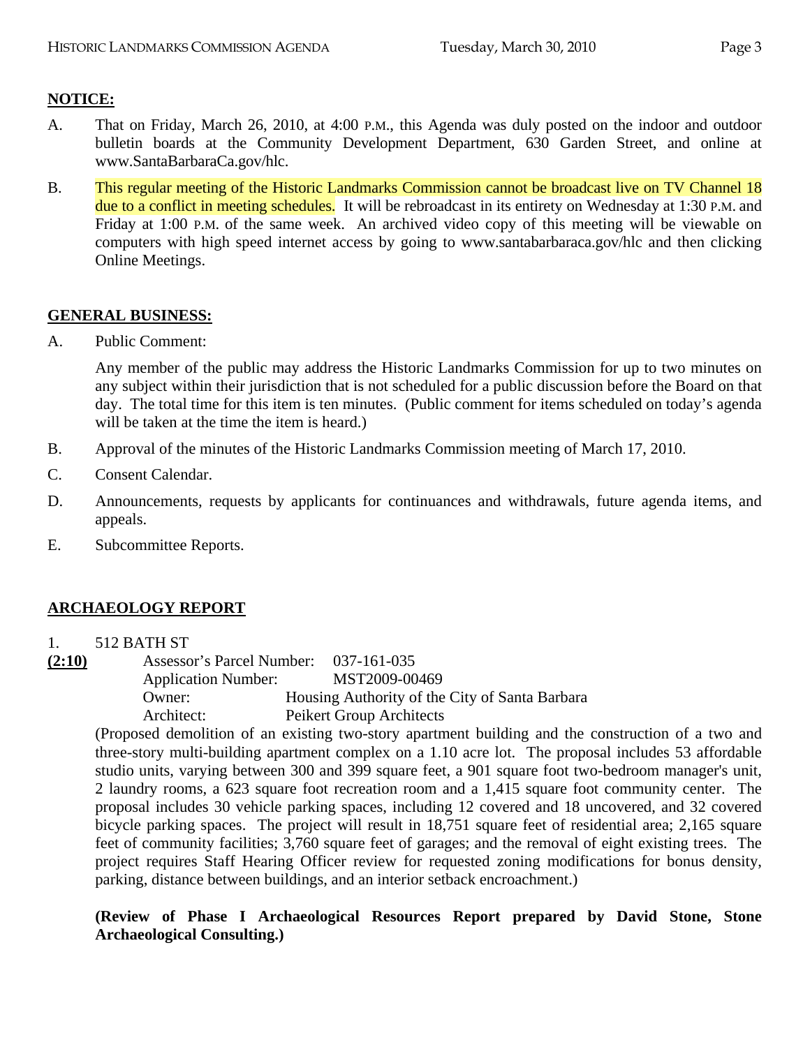## **NOTICE:**

- A. That on Friday, March 26, 2010, at 4:00 P.M., this Agenda was duly posted on the indoor and outdoor bulletin boards at the Community Development Department, 630 Garden Street, and online at www.SantaBarbaraCa.gov/hlc.
- B. This regular meeting of the Historic Landmarks Commission cannot be broadcast live on TV Channel 18 due to a conflict in meeting schedules. It will be rebroadcast in its entirety on Wednesday at 1:30 P.M. and Friday at 1:00 P.M. of the same week. An archived video copy of this meeting will be viewable on computers with high speed internet access by going to www.santabarbaraca.gov/hlc and then clicking Online Meetings.

#### **GENERAL BUSINESS:**

A. Public Comment:

Any member of the public may address the Historic Landmarks Commission for up to two minutes on any subject within their jurisdiction that is not scheduled for a public discussion before the Board on that day. The total time for this item is ten minutes. (Public comment for items scheduled on today's agenda will be taken at the time the item is heard.)

- B. Approval of the minutes of the Historic Landmarks Commission meeting of March 17, 2010.
- C. Consent Calendar.
- D. Announcements, requests by applicants for continuances and withdrawals, future agenda items, and appeals.
- E. Subcommittee Reports.

## **ARCHAEOLOGY REPORT**

- 1. 512 BATH ST
- **(2:10)** Assessor's Parcel Number: 037-161-035 Application Number: MST2009-00469 Owner: Housing Authority of the City of Santa Barbara Architect: Peikert Group Architects

(Proposed demolition of an existing two-story apartment building and the construction of a two and three-story multi-building apartment complex on a 1.10 acre lot. The proposal includes 53 affordable studio units, varying between 300 and 399 square feet, a 901 square foot two-bedroom manager's unit, 2 laundry rooms, a 623 square foot recreation room and a 1,415 square foot community center. The proposal includes 30 vehicle parking spaces, including 12 covered and 18 uncovered, and 32 covered bicycle parking spaces. The project will result in 18,751 square feet of residential area; 2,165 square feet of community facilities; 3,760 square feet of garages; and the removal of eight existing trees. The project requires Staff Hearing Officer review for requested zoning modifications for bonus density, parking, distance between buildings, and an interior setback encroachment.)

**(Review of Phase I Archaeological Resources Report prepared by David Stone, Stone Archaeological Consulting.)**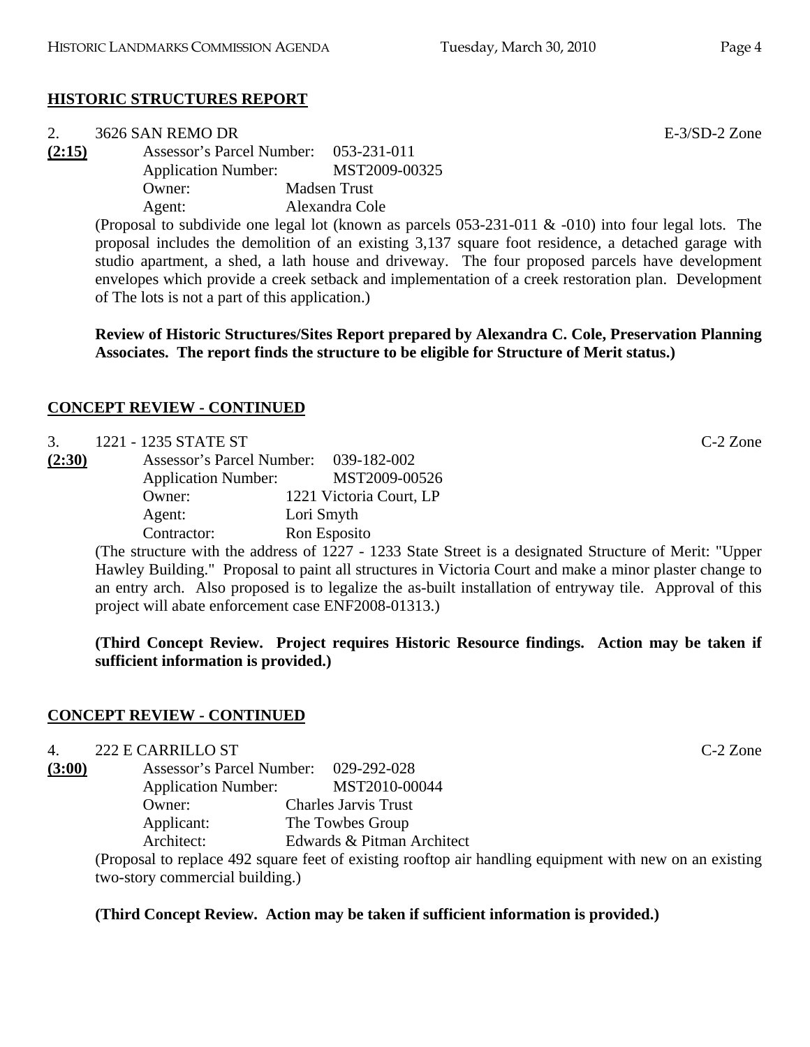## **HISTORIC STRUCTURES REPORT**

|        | 3626 SAN REMO DR                                                                                          |                     |  |  | $E-3/SD-2$ Zone |  |
|--------|-----------------------------------------------------------------------------------------------------------|---------------------|--|--|-----------------|--|
| (2:15) | Assessor's Parcel Number: 053-231-011                                                                     |                     |  |  |                 |  |
|        | <b>Application Number:</b>                                                                                | MST2009-00325       |  |  |                 |  |
|        | Owner:                                                                                                    | <b>Madsen Trust</b> |  |  |                 |  |
|        | Agent:                                                                                                    | Alexandra Cole      |  |  |                 |  |
|        | (Proposal to subdivide one legal lot (known as parcels $053-231-011$ & $-010$ ) into four legal lots. The |                     |  |  |                 |  |
|        | proposal includes the demolition of an existing 3,137 square foot residence, a detached garage with       |                     |  |  |                 |  |

proposal includes the demolition of an existing 3,137 square foot residence, a detached garage with studio apartment, a shed, a lath house and driveway. The four proposed parcels have development envelopes which provide a creek setback and implementation of a creek restoration plan. Development of The lots is not a part of this application.)

**Review of Historic Structures/Sites Report prepared by Alexandra C. Cole, Preservation Planning Associates. The report finds the structure to be eligible for Structure of Merit status.)** 

## **CONCEPT REVIEW - CONTINUED**

| 3.     | 1221 - 1235 STATE ST                  |                         | $C-2$ Zone |
|--------|---------------------------------------|-------------------------|------------|
| (2:30) | Assessor's Parcel Number: 039-182-002 |                         |            |
|        | <b>Application Number:</b>            | MST2009-00526           |            |
|        | Owner:                                | 1221 Victoria Court, LP |            |
|        | Agent:                                | Lori Smyth              |            |
|        | Contractor:                           | Ron Esposito            |            |

(The structure with the address of 1227 - 1233 State Street is a designated Structure of Merit: "Upper Hawley Building." Proposal to paint all structures in Victoria Court and make a minor plaster change to an entry arch. Also proposed is to legalize the as-built installation of entryway tile. Approval of this project will abate enforcement case ENF2008-01313.)

## **(Third Concept Review. Project requires Historic Resource findings. Action may be taken if sufficient information is provided.)**

#### **CONCEPT REVIEW - CONTINUED**

4. 222 E CARRILLO ST C-2 Zone

**(3:00)** Assessor's Parcel Number: 029-292-028 Application Number: MST2010-00044 Owner: Charles Jarvis Trust Applicant: The Towbes Group Architect: Edwards & Pitman Architect

(Proposal to replace 492 square feet of existing rooftop air handling equipment with new on an existing two-story commercial building.)

#### **(Third Concept Review. Action may be taken if sufficient information is provided.)**